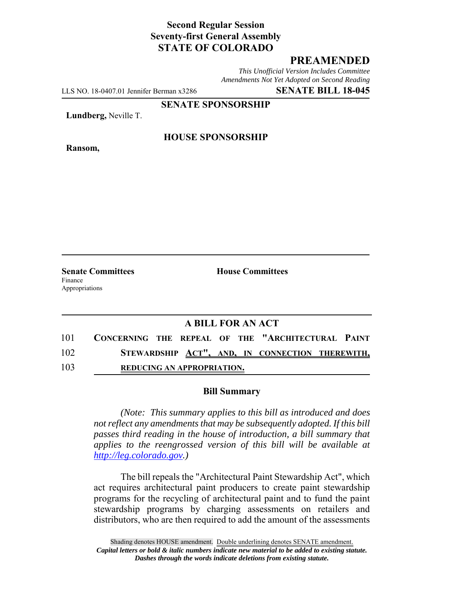# **Second Regular Session Seventy-first General Assembly STATE OF COLORADO**

## **PREAMENDED**

*This Unofficial Version Includes Committee Amendments Not Yet Adopted on Second Reading*

LLS NO. 18-0407.01 Jennifer Berman x3286 **SENATE BILL 18-045**

**SENATE SPONSORSHIP**

**Lundberg,** Neville T.

**Ransom,**

### **HOUSE SPONSORSHIP**

**Senate Committees House Committees** Finance Appropriations

### **A BILL FOR AN ACT**

| 101 | CONCERNING THE REPEAL OF THE "ARCHITECTURAL PAINT |                                   |  |  |  |  |  |
|-----|---------------------------------------------------|-----------------------------------|--|--|--|--|--|
| 102 | STEWARDSHIP ACT", AND, IN CONNECTION THEREWITH,   |                                   |  |  |  |  |  |
| 103 |                                                   | <b>REDUCING AN APPROPRIATION.</b> |  |  |  |  |  |

#### **Bill Summary**

*(Note: This summary applies to this bill as introduced and does not reflect any amendments that may be subsequently adopted. If this bill passes third reading in the house of introduction, a bill summary that applies to the reengrossed version of this bill will be available at http://leg.colorado.gov.)*

The bill repeals the "Architectural Paint Stewardship Act", which act requires architectural paint producers to create paint stewardship programs for the recycling of architectural paint and to fund the paint stewardship programs by charging assessments on retailers and distributors, who are then required to add the amount of the assessments